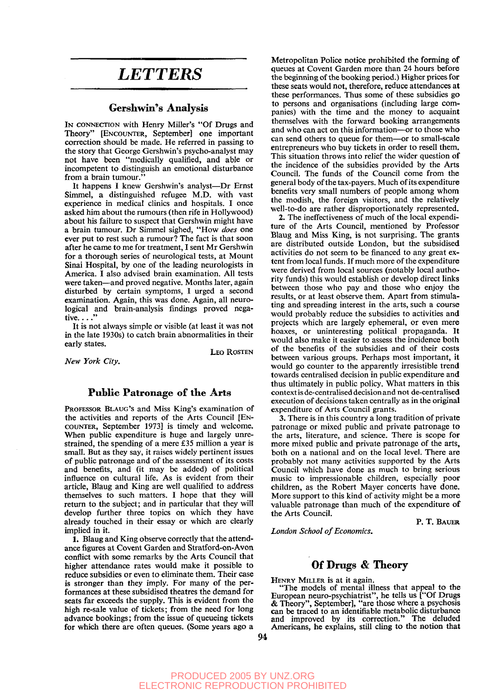# *LETTERS*

### Gershwin's Analysis

IN CONNECTION with Henry Miller's "Of Drugs and Theory" [ENCOUNTER, September] one important correction should be made. He referred in passing to the story that George Gershwin's psycho-analyst may not have been "medically qualified, and able or incompetent to distinguish an emotional disturbance from a brain tumour."

It happens I knew Gershwin's analyst—Dr Ernst Simmel, a distinguished refugee M.D. with vast experience in medical clinics and hospitals. I once asked him about the rumours (then rife in Hollywood) about his failure to suspect that Gershwin might have a brain tumour. Dr Simmel sighed, "How *does* one ever put to rest such a rumour? The fact is that soon after he came to me for treatment, I sent Mr Gershwin for a thorough series of neurological tests, at Mount Sinai Hospital, by one of the leading neurologists in America. I also advised brain examination. All tests were taken—and proved negative. Months later, again disturbed by certain symptoms, I urged a second examination. Again, this was done. Again, all neurological and brain-analysis findings proved negative  $\cdots$ "

It is not always simple or visible (at least it was not in the late 1930s) to catch brain abnormalities in their early states.

*New York City.*

LEO ROSTEN

#### Public Patronage of the Arts

PROFESSOR BLAUG'S and Miss King's examination of the activities and reports of the Arts Council [EN-COUNTER, September 1973] is timely and welcome. When public expenditure is huge and largely unrestrained, the spending of a mere £35 million a year is small. But as they say, it raises widely pertinent issues of public patronage and of the assessment of its costs and benefits, and (it may be added) of political influence on cultural life. As is evident from their article, Blaug and King are well qualified to address themselves to such matters. I hope that they will return to the subject; and in particular that they will develop further three topics on which they have already touched in their essay or which are clearly implied in it.

1. Blaug and King observe correctly that the attendance figures at Covent Garden and Stratford-on-Avon conflict with some remarks by the Arts Council that higher attendance rates would make it possible to reduce subsidies or even to eliminate them. Their case is stronger than they imply. For many of the performances at these subsidised theatres the demand for seats far exceeds the supply. This is evident from the high re-sale value of tickets; from the need for long advance bookings; from the issue of queueing tickets for which there are often queues. (Some years ago a

Metropolitan Police notice prohibited the forming of queues at Covent Garden more than 24 hours before the beginning of the booking period.) Higher prices for these seats would not, therefore, reduce attendances at these performances. Thus some of these subsidies go to persons and organisations (including large companies) with the time and the money to acquaint themselves with the forward booking arrangements and who can act on this information—or to those who can send others to queue for them—or to small-scale entrepreneurs who buy tickets in order to resell them. This situation throws into relief the wider question of the incidence of the subsidies provided by the Arts Council. The funds of the Council come from the general body of the tax-payers. Much of its expenditure benefits very small numbers of people among whom the modish, the foreign visitors, and the relatively well-to-do are rather disproportionately represented.

2. The ineffectiveness of much of the local expenditure of the Arts Council, mentioned by Professor Blaug and Miss King, is not surprising. The grants are distributed outside London, but the subsidised activities do not seem to be financed to any great extent from local funds. If much more of the expenditure were derived from local sources (notably local authority funds) this would establish or develop direct links between those who pay and those who enjoy the results, or at least observe them. Apart from stimulating and spreading interest in the arts, such a course would probably reduce the subsidies to activities and projects which are largely ephemeral, or even mere hoaxes, or uninteresting political propaganda. It would also make it easier to assess the incidence both of the benefits of the subsidies and of their costs between various groups. Perhaps most important, it would go counter to the apparently irresistible trend towards centralised decision in public expenditure and thus ultimately in public policy. What matters in this context is de-centralised decision and not de-centralised execution of decisions taken centrally as in the original expenditure of Arts Council grants.

3. There is in this country a long tradition of private patronage or mixed public and private patronage to the arts, literature, and science. There is scope for more mixed public and private patronage of the arts, both on a national and on the local level. There are probably not many activities supported by the Arts Council which have done as much to bring serious music to impressionable children, especially poor children, as the Robert Mayer concerts have done. More support to this kind of activity might be a more valuable patronage than much of the expenditure of the Arts Council.

*London School of Economics.*

P. T. BAUER

## Of Drugs & Theory

HENRY MILLER is at it again.

"The models of mental illness that appeal to the European neuro-psychiatrist", he tells us ["Of Drugs & Theory", September], "are those where a psychosis can be traced to an identifiable metabolic disturbance and improved by its correction." The deluded Americans, he explains, still cling to the notion that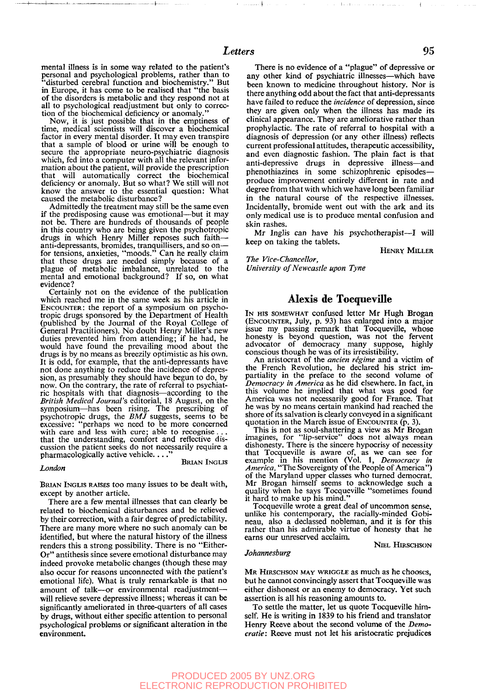mental illness is in some way related to the patient's personal and psychological problems, rather than to "disturbed cerebral function and biochemistry." But in Europe, it has come to be realised that "the basis of the disorders is metabolic and they respond not at all to psychological readjustment but only to correction of the biochemical deficiency or anomaly.

Now, it is just possible that in the emptiness of time, medical scientists will discover a biochemical factor in every mental disorder. It may even transpire that a sample of blood or urine will be enough to secure the appropriate neuro-psychiatric diagnosis which, fed into a computer with all the relevant information about the patient, will provide the prescription that will automatically correct the biochemical deficiency or anomaly. But so what? We still will not know the answer to the essential question: What caused the metabolic disturbance?

Admittedly the treatment may still be the same even if the predisposing cause was emotional—but it may not be. There are hundreds of thousands of people in this country who are being given the psychotropic drugs in which Henry Miller reposes such faith anti-depressants, bromides, tranquillisers, and so on— for tensions, anxieties, "moods." Can he really claim that these drugs are needed simply because of a plague of metabolic imbalance, unrelated to the mental and emotional background? If so, on what evidence?

Certainly not on the evidence of the publication which reached me in the same week as his article in ENCOUNTER: the report of a symposium on psychotropic drugs sponsored by the Department of Health (published by the Journal of the Royal College of General Practitioners). No doubt Henry Miller's new duties prevented him from attending; if he had, he would have found the prevailing mood about the drugs is by no means as breezily optimistic as his own. It is odd, for example, that the anti-depressants have not done anything to reduce the incidence of depression, as presumably they should have begun to do, by now. On the contrary, the rate of referral to psychiatric hospitals with that diagnosis—according to the *British Medical Journal's* editorial, 18 August, on the symposium—has been rising. The prescribing of psychotropic drugs, the *BMJ* suggests, seems to be excessive: "perhaps we need to be more concerned with care and less with cure; able to recognise. that the understanding, comfort and reflective discussion the patient seeks do not necessarily require a pharmacologically active vehicle...."

#### *London*

BRIAN INGUS

BRIAN INGLIS RAISES too many issues to be dealt with, except by another article.

There are a few mental illnesses that can clearly be related to biochemical disturbances and be relieved by their correction, with a fair degree of predictability. There are many more where no such anomaly can be identified, but where the natural history of the illness renders this a strong possibility. There is no "Either-Or" antithesis since severe emotional disturbance may indeed provoke metabolic changes (though these may also occur for reasons unconnected with the patient's emotional life). What is truly remarkable is that no amount of talk—or environmental readjustment will relieve severe depressive illness; whereas it can be significantly ameliorated in three-quarters of all cases by drugs, without either specific attention to personal psychological problems or significant alteration in the environment.

There is no evidence of a "plague" of depressive or any other kind of psychiatric illnesses—which have been known to medicine throughout history. Nor is there anything odd about the fact that anti-depressants have failed to reduce the *incidence* of depression, since they are given only when the illness has made its clinical appearance. They are ameliorative rather than prophylactic. The rate of referral to hospital with a diagnosis of depression (or any other illness) reflects current professional attitudes, therapeutic accessibility, and even diagnostic fashion. The plain fact is that anti-depressive drugs in depressive illness—and phenothiazines in some schizophrenic episodes produce improvement entirely different in rate and degree from that with which we have long been familiar in the natural course of the respective illnesses. Incidentally, bromide went out with the ark and its only medical use is to produce mental confusion and skin rashes.

Mr Inglis can have his psychotherapist—I will keep on taking the tablets.

HENRY MILLER

*The Vice-Chancellor, University of Newcastle upon Tyne*

#### Alexis de Tocqueville

IN HIS SOMEWHAT confused letter Mr Hugh Brogan (ENCOUNTER, July, p. 93) has enlarged into a major issue my passing remark that Tocqueville, whose honesty is beyond question, was not the fervent advocator of democracy many suppose, highly conscious though he was of its irresistibility.

An aristocrat of the *ancien regime* and a victim of the French Revolution, he declared his strict impartiality in the preface to the second volume of *Democracy in America* as he did elsewhere. In fact, in this volume he implied that what was good for America was not necessarily good for France. That he was by no means certain mankind had reached the shore of its salvation is clearly conveyed in a significant quotation in the March issue of ENCOUNTER (p. 3).

This is not as soul-shattering a view as Mr Brogan imagines, for "lip-service" does not always mean dishonesty. There is the sincere hypocrisy of necessity that Tocqueville is aware of, as we can see for example in his mention (Vol. 1, *Democracy in America,* "The Sovereignty of the People of America") of the Maryland upper classes who turned democrat. Mr Brogan himself seems to acknowledge such a quality when he says Tocqueville "sometimes found it hard to make up his mind."

Tocqueville wrote a great deal of uncommon sense, unlike his contemporary, the racially-minded Gobi-neau, also a declassed nobleman, and it is for this rather than his admirable virtue of honesty that he earns our unreserved acclaim.

NIEL HIRSCHSON

#### *Johannesburg*

MR HIRSCHSON MAY WRIGGLE as much as he chooses, but he cannot convincingly assert that Tocqueville was either dishonest or an enemy to democracy. Yet such assertion is all his reasoning amounts to.

To settle the matter, let us quote Tocqueville himself. He is writing in 1839 to his friend and translator Henry Reeve about the second volume of the *Democratie:* Reeve must not let his aristocratic prejudices

#### PRODUCED 2005 BY UNZ.ORG ELECTRONIC REPRODUCTION PROHIBITED